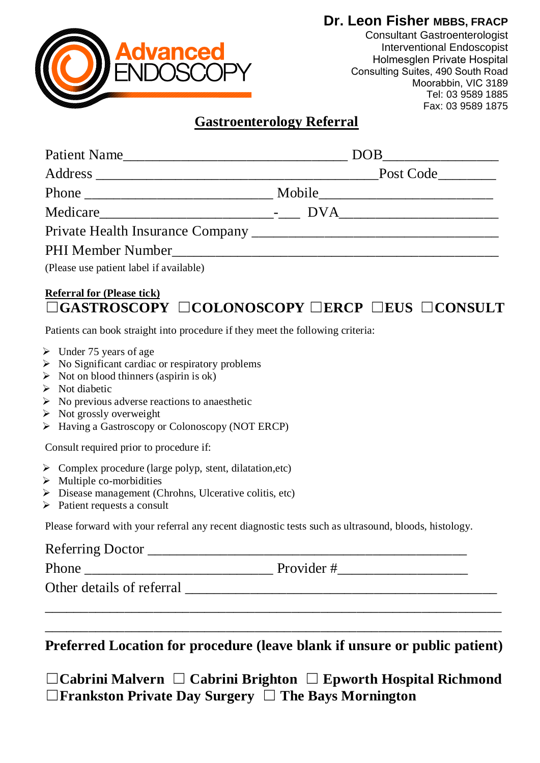### **Dr. Leon Fisher MBBS, FRACP**



Consultant Gastroenterologist Interventional Endoscopist Holmesglen Private Hospital Consulting Suites, 490 South Road Moorabbin, VIC 3189 Tel: 03 9589 1885 Fax: 03 9589 1875

## **Gastroenterology Referral**

| Patient Name |           |
|--------------|-----------|
|              | Post Code |
|              |           |
|              |           |
|              |           |
|              |           |

(Please use patient label if available)

## **Referral for (Please tick)**  ☐**GASTROSCOPY** ☐**COLONOSCOPY** ☐ **ERCP** ☐ **EUS** ☐**CONSULT**

Patients can book straight into procedure if they meet the following criteria:

- $\triangleright$  Under 75 years of age
- $\triangleright$  No Significant cardiac or respiratory problems
- $\triangleright$  Not on blood thinners (aspirin is ok)
- $\triangleright$  Not diabetic
- $\triangleright$  No previous adverse reactions to anaesthetic
- $\triangleright$  Not grossly overweight
- Having a Gastroscopy or Colonoscopy (NOT ERCP)

Consult required prior to procedure if:

- $\triangleright$  Complex procedure (large polyp, stent, dilatation,etc)
- $\triangleright$  Multiple co-morbidities
- Disease management (Chrohns, Ulcerative colitis, etc)
- $\triangleright$  Patient requests a consult

Please forward with your referral any recent diagnostic tests such as ultrasound, bloods, histology.

# Referring Doctor \_\_\_\_\_\_\_\_\_\_\_\_\_\_\_\_\_\_\_\_\_\_\_\_\_\_\_\_\_\_\_\_\_\_\_\_\_\_\_\_\_\_\_\_ Phone \_\_\_\_\_\_\_\_\_\_\_\_\_\_\_\_\_\_\_\_\_\_\_\_\_\_ Provider #\_\_\_\_\_\_\_\_\_\_\_\_\_\_\_\_\_\_

Other details of referral  $\Box$ 

**Preferred Location for procedure (leave blank if unsure or public patient)** 

\_\_\_\_\_\_\_\_\_\_\_\_\_\_\_\_\_\_\_\_\_\_\_\_\_\_\_\_\_\_\_\_\_\_\_\_\_\_\_\_\_\_\_\_\_\_\_\_\_\_\_\_\_\_\_\_\_\_\_\_\_\_\_

\_\_\_\_\_\_\_\_\_\_\_\_\_\_\_\_\_\_\_\_\_\_\_\_\_\_\_\_\_\_\_\_\_\_\_\_\_\_\_\_\_\_\_\_\_\_\_\_\_\_\_\_\_\_\_\_\_\_\_\_\_\_\_

☐**Cabrini Malvern** ☐ **Cabrini Brighton** ☐ **Epworth Hospital Richmond**  ☐ **Frankston Private Day Surgery** ☐ **The Bays Mornington**